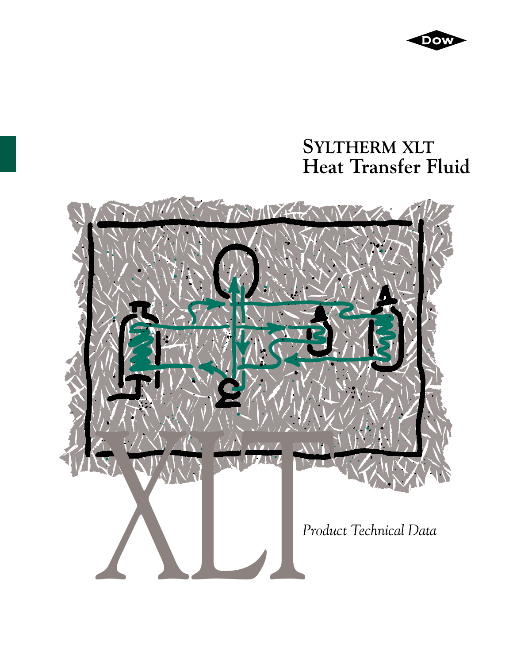

# **SYLTHERM XLT Heat Transfer Fluid**

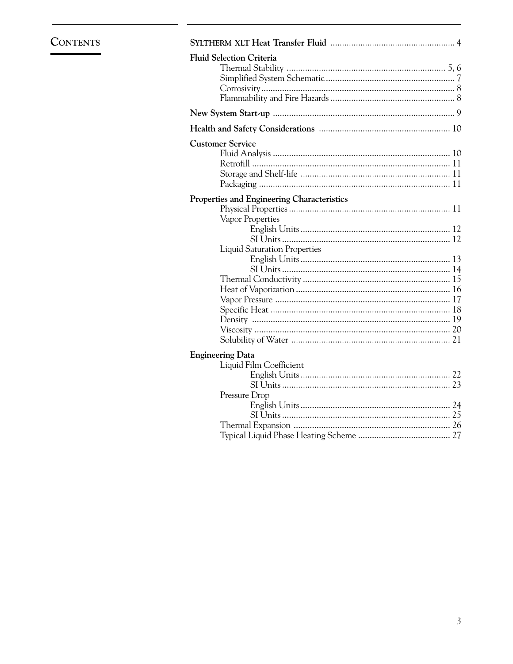# **CONTENTS**

| <b>Fluid Selection Criteria</b>                                                                       |
|-------------------------------------------------------------------------------------------------------|
|                                                                                                       |
|                                                                                                       |
| <b>Customer Service</b>                                                                               |
| Properties and Engineering Characteristics<br>Vapor Properties<br><b>Liquid Saturation Properties</b> |
| <b>Engineering Data</b><br>Liquid Film Coefficient<br>Pressure Drop                                   |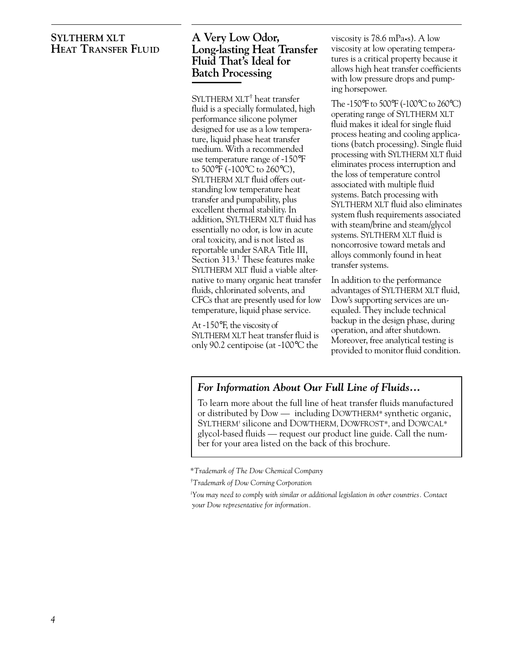#### **SYLTHERM XLT HEAT TRANSFER FLUID**

# **A Very Low Odor, Long-lasting Heat Transfer Fluid That's Ideal for Batch Processing**

SYLTHERM XLT† heat transfer fluid is a specially formulated, high performance silicone polymer designed for use as a low temperature, liquid phase heat transfer medium. With a recommended use temperature range of -150°F to 500°F (-100°C to 260°C), SYLTHERM XLT fluid offers outstanding low temperature heat transfer and pumpability, plus excellent thermal stability. In addition, SYLTHERM XLT fluid has essentially no odor, is low in acute oral toxicity, and is not listed as reportable under SARA Title III, Section 313.<sup>1</sup> These features make SYLTHERM XLT fluid a viable alternative to many organic heat transfer fluids, chlorinated solvents, and CFCs that are presently used for low temperature, liquid phase service.

At -150°F, the viscosity of SYLTHERM XLT heat transfer fluid is only 90.2 centipoise (at -100°C the

viscosity is 78.6 mPa•s). A low viscosity at low operating temperatures is a critical property because it allows high heat transfer coefficients with low pressure drops and pumping horsepower.

The -150°F to 500°F (-100°C to 260°C) operating range of SYLTHERM XLT fluid makes it ideal for single fluid process heating and cooling applications (batch processing). Single fluid processing with SYLTHERM XLT fluid eliminates process interruption and the loss of temperature control associated with multiple fluid systems. Batch processing with SYLTHERM XLT fluid also eliminates system flush requirements associated with steam/brine and steam/glycol systems. SYLTHERM XLT fluid is noncorrosive toward metals and alloys commonly found in heat transfer systems.

In addition to the performance advantages of SYLTHERM XLT fluid, Dow's supporting services are unequaled. They include technical backup in the design phase, during operation, and after shutdown. Moreover, free analytical testing is provided to monitor fluid condition.

### *For Information About Our Full Line of Fluids...*

To learn more about the full line of heat transfer fluids manufactured or distributed by Dow — including DOWTHERM\* synthetic organic, SYLTHERM† silicone and DOWTHERM, DOWFROST\*, and DOWCAL\* glycol-based fluids — request our product line guide. Call the number for your area listed on the back of this brochure.

*\*Trademark of The Dow Chemical Company*

*†Trademark of Dow Corning Corporation*

*<sup>1</sup>You may need to comply with similar or additional legislation in other countries. Contact your Dow representative for information.*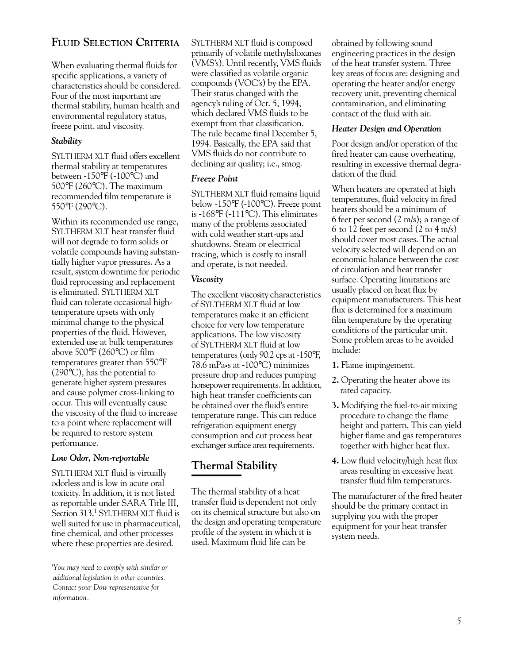### **FLUID SELECTION CRITERIA**

When evaluating thermal fluids for specific applications, a variety of characteristics should be considered. Four of the most important are thermal stability, human health and environmental regulatory status, freeze point, and viscosity.

#### *Stability*

SYLTHERM XLT fluid offers excellent thermal stability at temperatures between -150°F (-100°C) and 500°F (260°C). The maximum recommended film temperature is 550°F (290°C).

Within its recommended use range, SYLTHERM XLT heat transfer fluid will not degrade to form solids or volatile compounds having substantially higher vapor pressures. As a result, system downtime for periodic fluid reprocessing and replacement is eliminated. SYLTHERM XLT fluid can tolerate occasional hightemperature upsets with only minimal change to the physical properties of the fluid. However, extended use at bulk temperatures above 500°F (260°C) or film temperatures greater than 550°F (290°C), has the potential to generate higher system pressures and cause polymer cross-linking to occur. This will eventually cause the viscosity of the fluid to increase to a point where replacement will be required to restore system performance.

#### *Low Odor, Non-reportable*

SYLTHERM XLT fluid is virtually odorless and is low in acute oral toxicity. In addition, it is not listed as reportable under SARA Title III, Section 313.<sup>1</sup> SYLTHERM XLT fluid is well suited for use in pharmaceutical, fine chemical, and other processes where these properties are desired.

SYLTHERM XLT fluid is composed primarily of volatile methylsiloxanes (VMS's). Until recently, VMS fluids were classified as volatile organic compounds (VOC's) by the EPA. Their status changed with the agency's ruling of Oct. 5, 1994, which declared VMS fluids to be exempt from that classification. The rule became final December 5, 1994. Basically, the EPA said that VMS fluids do not contribute to declining air quality; i.e., smog.

#### *Freeze Point*

SYLTHERM XLT fluid remains liquid below -150°F (-100°C). Freeze point is -168°F (-111°C). This eliminates many of the problems associated with cold weather start-ups and shutdowns. Steam or electrical tracing, which is costly to install and operate, is not needed.

#### *Viscosity*

The excellent viscosity characteristics of SYLTHERM XLT fluid at low temperatures make it an efficient choice for very low temperature applications. The low viscosity of SYLTHERM XLT fluid at low temperatures (only 90.2 cps at -150°F, 78.6 mPa•s at -100°C) minimizes pressure drop and reduces pumping horsepower requirements. In addition, high heat transfer coefficients can be obtained over the fluid's entire temperature range. This can reduce refrigeration equipment energy consumption and cut process heat exchanger surface area requirements.

# **Thermal Stability**

The thermal stability of a heat transfer fluid is dependent not only on its chemical structure but also on the design and operating temperature profile of the system in which it is used. Maximum fluid life can be

obtained by following sound engineering practices in the design of the heat transfer system. Three key areas of focus are: designing and operating the heater and/or energy recovery unit, preventing chemical contamination, and eliminating contact of the fluid with air.

#### *Heater Design and Operation*

Poor design and/or operation of the fired heater can cause overheating, resulting in excessive thermal degradation of the fluid.

When heaters are operated at high temperatures, fluid velocity in fired heaters should be a minimum of 6 feet per second (2 m/s); a range of 6 to 12 feet per second (2 to 4 m/s) should cover most cases. The actual velocity selected will depend on an economic balance between the cost of circulation and heat transfer surface. Operating limitations are usually placed on heat flux by equipment manufacturers. This heat flux is determined for a maximum film temperature by the operating conditions of the particular unit. Some problem areas to be avoided include:

- **1.** Flame impingement.
- **2.** Operating the heater above its rated capacity.
- **3.** Modifying the fuel-to-air mixing procedure to change the flame height and pattern. This can yield higher flame and gas temperatures together with higher heat flux.
- **4.** Low fluid velocity/high heat flux areas resulting in excessive heat transfer fluid film temperatures.

The manufacturer of the fired heater should be the primary contact in supplying you with the proper equipment for your heat transfer system needs.

*<sup>1</sup>You may need to comply with similar or additional legislation in other countries. Contact your Dow representative for information.*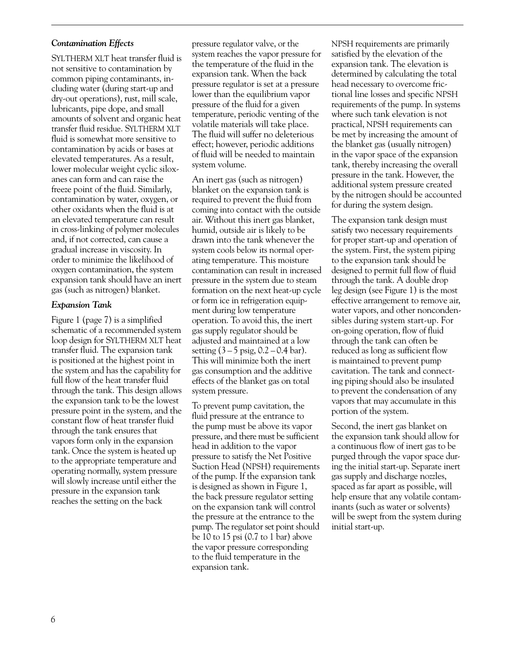#### *Contamination Effects*

SYLTHERM XLT heat transfer fluid is not sensitive to contamination by common piping contaminants, including water (during start-up and dry-out operations), rust, mill scale, lubricants, pipe dope, and small amounts of solvent and organic heat transfer fluid residue. SYLTHERM XLT fluid is somewhat more sensitive to contamination by acids or bases at elevated temperatures. As a result, lower molecular weight cyclic siloxanes can form and can raise the freeze point of the fluid. Similarly, contamination by water, oxygen, or other oxidants when the fluid is at an elevated temperature can result in cross-linking of polymer molecules and, if not corrected, can cause a gradual increase in viscosity. In order to minimize the likelihood of oxygen contamination, the system expansion tank should have an inert gas (such as nitrogen) blanket.

#### *Expansion Tank*

Figure 1 (page 7) is a simplified schematic of a recommended system loop design for SYLTHERM XLT heat transfer fluid. The expansion tank is positioned at the highest point in the system and has the capability for full flow of the heat transfer fluid through the tank. This design allows the expansion tank to be the lowest pressure point in the system, and the constant flow of heat transfer fluid through the tank ensures that vapors form only in the expansion tank. Once the system is heated up to the appropriate temperature and operating normally, system pressure will slowly increase until either the pressure in the expansion tank reaches the setting on the back

pressure regulator valve, or the system reaches the vapor pressure for the temperature of the fluid in the expansion tank. When the back pressure regulator is set at a pressure lower than the equilibrium vapor pressure of the fluid for a given temperature, periodic venting of the volatile materials will take place. The fluid will suffer no deleterious effect; however, periodic additions of fluid will be needed to maintain system volume.

An inert gas (such as nitrogen) blanket on the expansion tank is required to prevent the fluid from coming into contact with the outside air. Without this inert gas blanket, humid, outside air is likely to be drawn into the tank whenever the system cools below its normal operating temperature. This moisture contamination can result in increased pressure in the system due to steam formation on the next heat-up cycle or form ice in refrigeration equipment during low temperature operation. To avoid this, the inert gas supply regulator should be adjusted and maintained at a low setting  $(3 - 5 \text{ psig}, 0.2 - 0.4 \text{ bar})$ . This will minimize both the inert gas consumption and the additive effects of the blanket gas on total system pressure.

To prevent pump cavitation, the fluid pressure at the entrance to the pump must be above its vapor pressure, and there must be sufficient head in addition to the vapor pressure to satisfy the Net Positive Suction Head (NPSH) requirements of the pump. If the expansion tank is designed as shown in Figure 1, the back pressure regulator setting on the expansion tank will control the pressure at the entrance to the pump. The regulator set point should be 10 to 15 psi (0.7 to 1 bar) above the vapor pressure corresponding to the fluid temperature in the expansion tank.

NPSH requirements are primarily satisfied by the elevation of the expansion tank. The elevation is determined by calculating the total head necessary to overcome frictional line losses and specific NPSH requirements of the pump. In systems where such tank elevation is not practical, NPSH requirements can be met by increasing the amount of the blanket gas (usually nitrogen) in the vapor space of the expansion tank, thereby increasing the overall pressure in the tank. However, the additional system pressure created by the nitrogen should be accounted for during the system design.

The expansion tank design must satisfy two necessary requirements for proper start-up and operation of the system. First, the system piping to the expansion tank should be designed to permit full flow of fluid through the tank. A double drop leg design (see Figure 1) is the most effective arrangement to remove air, water vapors, and other noncondensibles during system start-up. For on-going operation, flow of fluid through the tank can often be reduced as long as sufficient flow is maintained to prevent pump cavitation. The tank and connecting piping should also be insulated to prevent the condensation of any vapors that may accumulate in this portion of the system.

Second, the inert gas blanket on the expansion tank should allow for a continuous flow of inert gas to be purged through the vapor space during the initial start-up. Separate inert gas supply and discharge nozzles, spaced as far apart as possible, will help ensure that any volatile contaminants (such as water or solvents) will be swept from the system during initial start-up.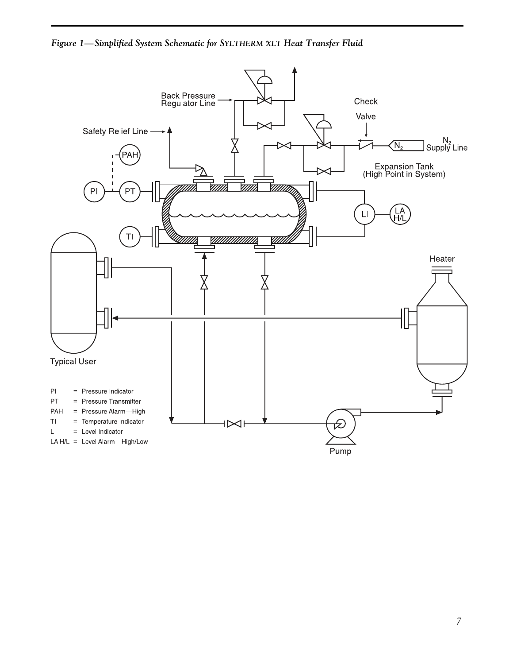### *Figure 1—Simplified System Schematic for SYLTHERM XLT Heat Transfer Fluid*

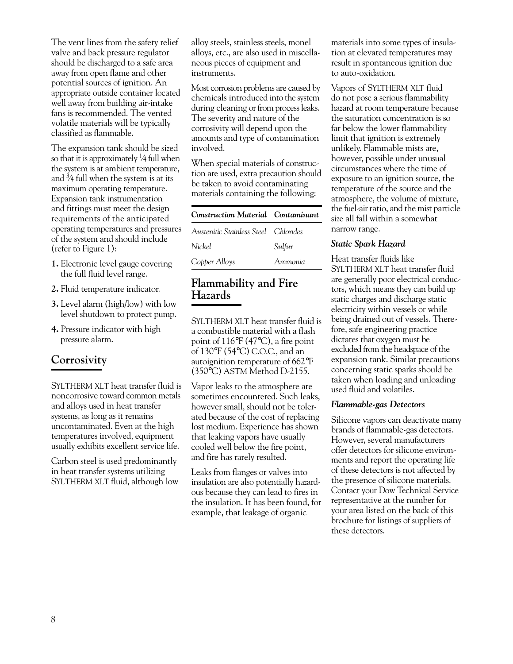The vent lines from the safety relief valve and back pressure regulator should be discharged to a safe area away from open flame and other potential sources of ignition. An appropriate outside container located well away from building air-intake fans is recommended. The vented volatile materials will be typically classified as flammable.

The expansion tank should be sized so that it is approximately <sup>1</sup>/4 full when the system is at ambient temperature, and  $\frac{3}{4}$  full when the system is at its maximum operating temperature. Expansion tank instrumentation and fittings must meet the design requirements of the anticipated operating temperatures and pressures of the system and should include (refer to Figure 1):

- **1.** Electronic level gauge covering the full fluid level range.
- **2.** Fluid temperature indicator.
- **3.** Level alarm (high/low) with low level shutdown to protect pump.
- **4.** Pressure indicator with high pressure alarm.

# **Corrosivity**

SYLTHERM XLT heat transfer fluid is noncorrosive toward common metals and alloys used in heat transfer systems, as long as it remains uncontaminated. Even at the high temperatures involved, equipment usually exhibits excellent service life.

Carbon steel is used predominantly in heat transfer systems utilizing SYLTHERM XLT fluid, although low alloy steels, stainless steels, monel alloys, etc., are also used in miscellaneous pieces of equipment and instruments.

Most corrosion problems are caused by chemicals introduced into the system during cleaning or from process leaks. The severity and nature of the corrosivity will depend upon the amounts and type of contamination involved.

When special materials of construction are used, extra precaution should be taken to avoid contaminating materials containing the following:

| <b>Construction Material Contaminant</b> |         |
|------------------------------------------|---------|
| Austenitic Stainless Steel Chlorides     |         |
| <i>Nickel</i>                            | Sulfur  |
| Copper Alloys                            | Ammonia |

## **Flammability and Fire Hazards**

SYLTHERM XLT heat transfer fluid is a combustible material with a flash point of 116°F (47°C), a fire point of 130°F (54°C) C.O.C., and an autoignition temperature of 662°F (350°C) ASTM Method D-2155.

Vapor leaks to the atmosphere are sometimes encountered. Such leaks, however small, should not be tolerated because of the cost of replacing lost medium. Experience has shown that leaking vapors have usually cooled well below the fire point, and fire has rarely resulted.

Leaks from flanges or valves into insulation are also potentially hazardous because they can lead to fires in the insulation. It has been found, for example, that leakage of organic

materials into some types of insulation at elevated temperatures may result in spontaneous ignition due to auto-oxidation.

Vapors of SYLTHERM XLT fluid do not pose a serious flammability hazard at room temperature because the saturation concentration is so far below the lower flammability limit that ignition is extremely unlikely. Flammable mists are, however, possible under unusual circumstances where the time of exposure to an ignition source, the temperature of the source and the atmosphere, the volume of mixture, the fuel-air ratio, and the mist particle size all fall within a somewhat narrow range.

#### *Static Spark Hazard*

Heat transfer fluids like SYLTHERM XLT heat transfer fluid are generally poor electrical conductors, which means they can build up static charges and discharge static electricity within vessels or while being drained out of vessels. Therefore, safe engineering practice dictates that oxygen must be excluded from the headspace of the expansion tank. Similar precautions concerning static sparks should be taken when loading and unloading used fluid and volatiles.

#### *Flammable-gas Detectors*

Silicone vapors can deactivate many brands of flammable-gas detectors. However, several manufacturers offer detectors for silicone environments and report the operating life of these detectors is not affected by the presence of silicone materials. Contact your Dow Technical Service representative at the number for your area listed on the back of this brochure for listings of suppliers of these detectors.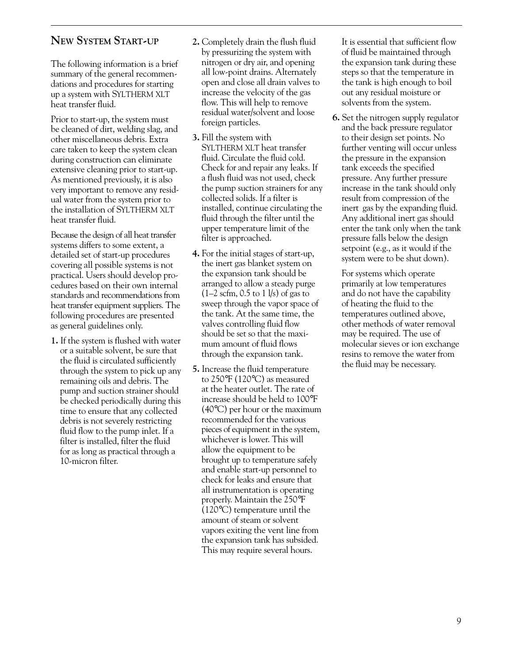# **NEW SYSTEM START-UP**

The following information is a brief summary of the general recommendations and procedures for starting up a system with SYLTHERM XLT heat transfer fluid.

Prior to start-up, the system must be cleaned of dirt, welding slag, and other miscellaneous debris. Extra care taken to keep the system clean during construction can eliminate extensive cleaning prior to start-up. As mentioned previously, it is also very important to remove any residual water from the system prior to the installation of SYLTHERM XLT heat transfer fluid.

Because the design of all heat transfer systems differs to some extent, a detailed set of start-up procedures covering all possible systems is not practical. Users should develop procedures based on their own internal standards and recommendations from heat transfer equipment suppliers. The following procedures are presented as general guidelines only.

**1.** If the system is flushed with water or a suitable solvent, be sure that the fluid is circulated sufficiently through the system to pick up any remaining oils and debris. The pump and suction strainer should be checked periodically during this time to ensure that any collected debris is not severely restricting fluid flow to the pump inlet. If a filter is installed, filter the fluid for as long as practical through a 10-micron filter.

- **2.** Completely drain the flush fluid by pressurizing the system with nitrogen or dry air, and opening all low-point drains. Alternately open and close all drain valves to increase the velocity of the gas flow. This will help to remove residual water/solvent and loose foreign particles.
- **3.** Fill the system with SYLTHERM XLT heat transfer fluid. Circulate the fluid cold. Check for and repair any leaks. If a flush fluid was not used, check the pump suction strainers for any collected solids. If a filter is installed, continue circulating the fluid through the filter until the upper temperature limit of the filter is approached.
- **4.** For the initial stages of start-up, the inert gas blanket system on the expansion tank should be arranged to allow a steady purge  $(1-2 \text{ scfm}, 0.5 \text{ to } 1 \text{ l/s})$  of gas to sweep through the vapor space of the tank. At the same time, the valves controlling fluid flow should be set so that the maximum amount of fluid flows through the expansion tank.
- **5.** Increase the fluid temperature to 250°F (120°C) as measured at the heater outlet. The rate of increase should be held to 100°F (40°C) per hour or the maximum recommended for the various pieces of equipment in the system, whichever is lower. This will allow the equipment to be brought up to temperature safely and enable start-up personnel to check for leaks and ensure that all instrumentation is operating properly. Maintain the 250°F (120°C) temperature until the amount of steam or solvent vapors exiting the vent line from the expansion tank has subsided. This may require several hours.

It is essential that sufficient flow of fluid be maintained through the expansion tank during these steps so that the temperature in the tank is high enough to boil out any residual moisture or solvents from the system.

**6.** Set the nitrogen supply regulator and the back pressure regulator to their design set points. No further venting will occur unless the pressure in the expansion tank exceeds the specified pressure. Any further pressure increase in the tank should only result from compression of the inert gas by the expanding fluid. Any additional inert gas should enter the tank only when the tank pressure falls below the design setpoint (e.g., as it would if the system were to be shut down).

For systems which operate primarily at low temperatures and do not have the capability of heating the fluid to the temperatures outlined above, other methods of water removal may be required. The use of molecular sieves or ion exchange resins to remove the water from the fluid may be necessary.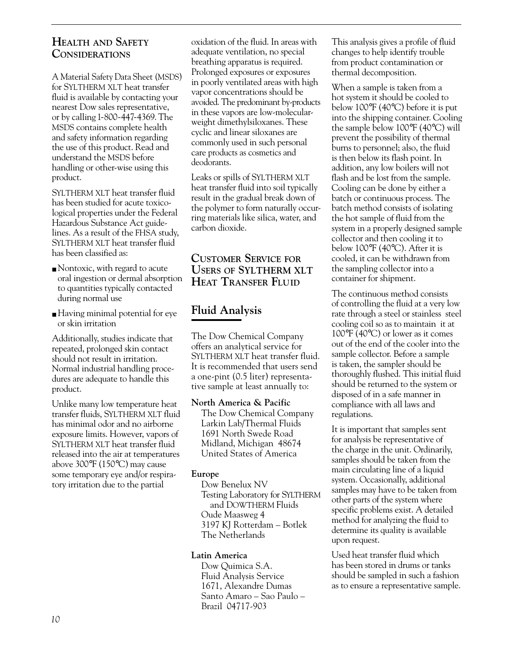### **HEALTH AND SAFETY CONSIDERATIONS**

A Material Safety Data Sheet (MSDS) for SYLTHERM XLT heat transfer fluid is available by contacting your nearest Dow sales representative, or by calling 1-800-447-4369. The MSDS contains complete health and safety information regarding the use of this product. Read and understand the MSDS before handling or other-wise using this product.

SYLTHERM XLT heat transfer fluid has been studied for acute toxicological properties under the Federal Hazardous Substance Act guidelines. As a result of the FHSA study, SYLTHERM XLT heat transfer fluid has been classified as:

- Nontoxic, with regard to acute oral ingestion or dermal absorption to quantities typically contacted during normal use
- Having minimal potential for eye or skin irritation

Additionally, studies indicate that repeated, prolonged skin contact should not result in irritation. Normal industrial handling procedures are adequate to handle this product.

Unlike many low temperature heat transfer fluids, SYLTHERM XLT fluid has minimal odor and no airborne exposure limits. However, vapors of SYLTHERM XLT heat transfer fluid released into the air at temperatures above 300°F (150°C) may cause some temporary eye and/or respiratory irritation due to the partial

oxidation of the fluid. In areas with adequate ventilation, no special breathing apparatus is required. Prolonged exposures or exposures in poorly ventilated areas with high vapor concentrations should be avoided. The predominant by-products in these vapors are low-molecularweight dimethylsiloxanes. These cyclic and linear siloxanes are commonly used in such personal care products as cosmetics and deodorants.

Leaks or spills of SYLTHERM XLT heat transfer fluid into soil typically result in the gradual break down of the polymer to form naturally occurring materials like silica, water, and carbon dioxide.

### **CUSTOMER SERVICE FOR USERS OF SYLTHERM XLT HEAT TRANSFER FLUID**

# **Fluid Analysis**

The Dow Chemical Company offers an analytical service for SYLTHERM XLT heat transfer fluid. It is recommended that users send a one-pint (0.5 liter) representative sample at least annually to:

**North America & Pacific** The Dow Chemical Company Larkin Lab/Thermal Fluids 1691 North Swede Road Midland, Michigan 48674

United States of America

#### **Europe**

Dow Benelux NV Testing Laboratory for SYLTHERM and DOWTHERM Fluids Oude Maasweg 4 3197 KJ Rotterdam – Botlek The Netherlands

#### **Latin America**

Dow Quimica S.A. Fluid Analysis Service 1671, Alexandre Dumas Santo Amaro – Sao Paulo – Brazil 04717-903

This analysis gives a profile of fluid changes to help identify trouble from product contamination or thermal decomposition.

When a sample is taken from a hot system it should be cooled to below 100°F (40°C) before it is put into the shipping container. Cooling the sample below 100°F (40°C) will prevent the possibility of thermal burns to personnel; also, the fluid is then below its flash point. In addition, any low boilers will not flash and be lost from the sample. Cooling can be done by either a batch or continuous process. The batch method consists of isolating the hot sample of fluid from the system in a properly designed sample collector and then cooling it to below 100°F (40°C). After it is cooled, it can be withdrawn from the sampling collector into a container for shipment.

The continuous method consists of controlling the fluid at a very low rate through a steel or stainless steel cooling coil so as to maintain it at 100°F (40°C) or lower as it comes out of the end of the cooler into the sample collector. Before a sample is taken, the sampler should be thoroughly flushed. This initial fluid should be returned to the system or disposed of in a safe manner in compliance with all laws and regulations.

It is important that samples sent for analysis be representative of the charge in the unit. Ordinarily, samples should be taken from the main circulating line of a liquid system. Occasionally, additional samples may have to be taken from other parts of the system where specific problems exist. A detailed method for analyzing the fluid to determine its quality is available upon request.

Used heat transfer fluid which has been stored in drums or tanks should be sampled in such a fashion as to ensure a representative sample.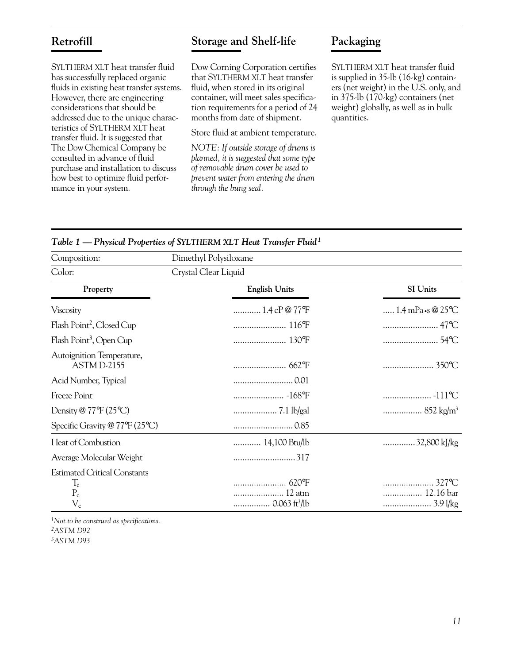# **Retrofill**

**Storage and Shelf-life**

SYLTHERM XLT heat transfer fluid has successfully replaced organic fluids in existing heat transfer systems. However, there are engineering considerations that should be addressed due to the unique characteristics of SYLTHERM XLT heat transfer fluid. It is suggested that The Dow Chemical Company be consulted in advance of fluid purchase and installation to discuss how best to optimize fluid performance in your system.

Dow Corning Corporation certifies that SYLTHERM XLT heat transfer fluid, when stored in its original container, will meet sales specification requirements for a period of 24 months from date of shipment.

Store fluid at ambient temperature.

*NOTE: If outside storage of drums is planned, it is suggested that some type of removable drum cover be used to prevent water from entering the drum through the bung seal.*

# **Packaging**

SYLTHERM XLT heat transfer fluid is supplied in 35-lb (16-kg) containers (net weight) in the U.S. only, and in 375-lb (170-kg) containers (net weight) globally, as well as in bulk quantities.

|  |  |  | Table 1 - Physical Properties of SYLTHERM XLT Heat Transfer Fluid <sup>1</sup> |  |  |
|--|--|--|--------------------------------------------------------------------------------|--|--|
|--|--|--|--------------------------------------------------------------------------------|--|--|

| Composition:                                                     | Dimethyl Polysiloxane       |                          |  |  |  |
|------------------------------------------------------------------|-----------------------------|--------------------------|--|--|--|
| Color:                                                           | Crystal Clear Liquid        |                          |  |  |  |
| Property                                                         | <b>English Units</b>        | SI Units                 |  |  |  |
| <b>Viscosity</b>                                                 | $\ldots$ $1.4 \,$ cP @ 77°F | 1.4 mPa • $\omega$ 25 °C |  |  |  |
| Flash Point <sup>2</sup> , Closed Cup                            |                             |                          |  |  |  |
| Flash Point <sup>3</sup> , Open Cup                              |                             |                          |  |  |  |
| Autoignition Temperature,<br>ASTM D-2155                         |                             |                          |  |  |  |
| Acid Number, Typical                                             |                             |                          |  |  |  |
| Freeze Point                                                     |                             |                          |  |  |  |
| Density $@$ 77°F (25°C)                                          |                             |                          |  |  |  |
| Specific Gravity @ 77°F (25°C)                                   | $\ldots$                    |                          |  |  |  |
| Heat of Combustion                                               | 14,100 Btu/lb               | 32,800 kJ/kg             |  |  |  |
| Average Molecular Weight                                         | 317                         |                          |  |  |  |
| <b>Estimated Critical Constants</b><br>$T_c$<br>$P_c$<br>$V_{c}$ | 12 atm                      | 12.16 bar                |  |  |  |

*<sup>1</sup>Not to be construed as specifications. <sup>2</sup>ASTM D92 <sup>3</sup>ASTM D93*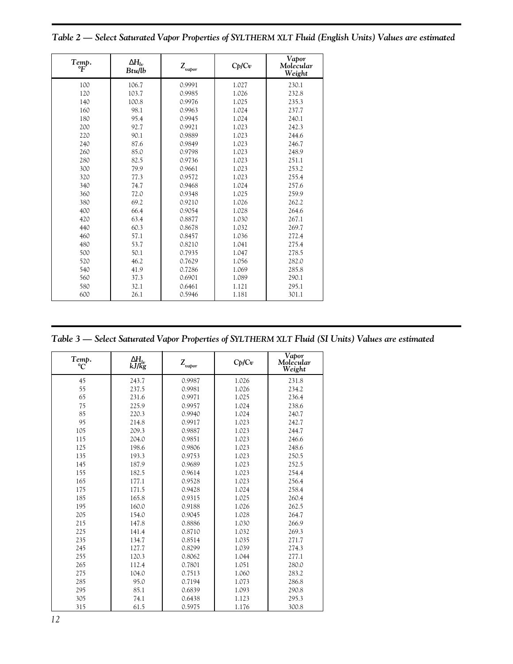| $\underset{{}^\circ F}{\mathbf{Temp}}.$ | $\Delta H_{lv}$<br>Btu/lb | $Z_{vapor}$ | Cp/Cv | Vapor<br>Molecular<br>Weight |
|-----------------------------------------|---------------------------|-------------|-------|------------------------------|
| 100                                     | 106.7                     | 0.9991      | 1.027 | 230.1                        |
| 120                                     | 103.7                     | 0.9985      | 1.026 | 232.8                        |
| 140                                     | 100.8                     | 0.9976      | 1.025 | 235.3                        |
| 160                                     | 98.1                      | 0.9963      | 1.024 | 237.7                        |
| 180                                     | 95.4                      | 0.9945      | 1.024 | 240.1                        |
| 200                                     | 92.7                      | 0.9921      | 1.023 | 242.3                        |
| 220                                     | 90.1                      | 0.9889      | 1.023 | 244.6                        |
| 240                                     | 87.6                      | 0.9849      | 1.023 | 246.7                        |
| 260                                     | 85.0                      | 0.9798      | 1.023 | 248.9                        |
| 280                                     | 82.5                      | 0.9736      | 1.023 | 251.1                        |
| 300                                     | 79.9                      | 0.9661      | 1.023 | 253.2                        |
| 320                                     | 77.3                      | 0.9572      | 1.023 | 255.4                        |
| 340                                     | 74.7                      | 0.9468      | 1.024 | 257.6                        |
| 360                                     | 72.0                      | 0.9348      | 1.025 | 259.9                        |
| 380                                     | 69.2                      | 0.9210      | 1.026 | 262.2                        |
| 400                                     | 66.4                      | 0.9054      | 1.028 | 264.6                        |
| 420                                     | 63.4                      | 0.8877      | 1.030 | 267.1                        |
| 440                                     | 60.3                      | 0.8678      | 1.032 | 269.7                        |
| 460                                     | 57.1                      | 0.8457      | 1.036 | 272.4                        |
| 480                                     | 53.7                      | 0.8210      | 1.041 | 275.4                        |
| 500                                     | 50.1                      | 0.7935      | 1.047 | 278.5                        |
| 520                                     | 46.2                      | 0.7629      | 1.056 | 282.0                        |
| 540                                     | 41.9                      | 0.7286      | 1.069 | 285.8                        |
| 560                                     | 37.3                      | 0.6901      | 1.089 | 290.1                        |
| 580                                     | 32.1                      | 0.6461      | 1.121 | 295.1                        |
| 600                                     | 26.1                      | 0.5946      | 1.181 | 301.1                        |

*Table 2 — Select Saturated Vapor Properties of SYLTHERM XLT Fluid (English Units) Values are estimated*

*Table 3 — Select Saturated Vapor Properties of SYLTHERM XLT Fluid (SI Units) Values are estimated*

| Temp.<br>°C | $\Delta H_{l v}$<br>kJ/kg | $Z_{vapor}$ | Cp/Cv | Vapor<br>Molecular<br>Weight |
|-------------|---------------------------|-------------|-------|------------------------------|
| 45          | 243.7                     | 0.9987      | 1.026 | 231.8                        |
| 55          | 237.5                     | 0.9981      | 1.026 | 234.2                        |
| 65          | 231.6                     | 0.9971      | 1.025 | 236.4                        |
| 75          | 225.9                     | 0.9957      | 1.024 | 238.6                        |
| 85          | 220.3                     | 0.9940      | 1.024 | 240.7                        |
| 95          | 214.8                     | 0.9917      | 1.023 | 242.7                        |
| 105         | 209.3                     | 0.9887      | 1.023 | 244.7                        |
| 115         | 204.0                     | 0.9851      | 1.023 | 246.6                        |
| 125         | 198.6                     | 0.9806      | 1.023 | 248.6                        |
| 135         | 193.3                     | 0.9753      | 1.023 | 250.5                        |
| 145         | 187.9                     | 0.9689      | 1.023 | 252.5                        |
| 155         | 182.5                     | 0.9614      | 1.023 | 254.4                        |
| 165         | 177.1                     | 0.9528      | 1.023 | 256.4                        |
| 175         | 171.5                     | 0.9428      | 1.024 | 258.4                        |
| 185         | 165.8                     | 0.9315      | 1.025 | 260.4                        |
| 195         | 160.0                     | 0.9188      | 1.026 | 262.5                        |
| 205         | 154.0                     | 0.9045      | 1.028 | 264.7                        |
| 215         | 147.8                     | 0.8886      | 1.030 | 266.9                        |
| 225         | 141.4                     | 0.8710      | 1.032 | 269.3                        |
| 235         | 134.7                     | 0.8514      | 1.035 | 271.7                        |
| 245         | 127.7                     | 0.8299      | 1.039 | 274.3                        |
| 255         | 120.3                     | 0.8062      | 1.044 | 277.1                        |
| 265         | 112.4                     | 0.7801      | 1.051 | 280.0                        |
| 275         | 104.0                     | 0.7513      | 1.060 | 283.2                        |
| 285         | 95.0                      | 0.7194      | 1.073 | 286.8                        |
| 295         | 85.1                      | 0.6839      | 1.093 | 290.8                        |
| 305         | 74.1                      | 0.6438      | 1.123 | 295.3                        |
| 315         | 61.5                      | 0.5975      | 1.176 | 300.8                        |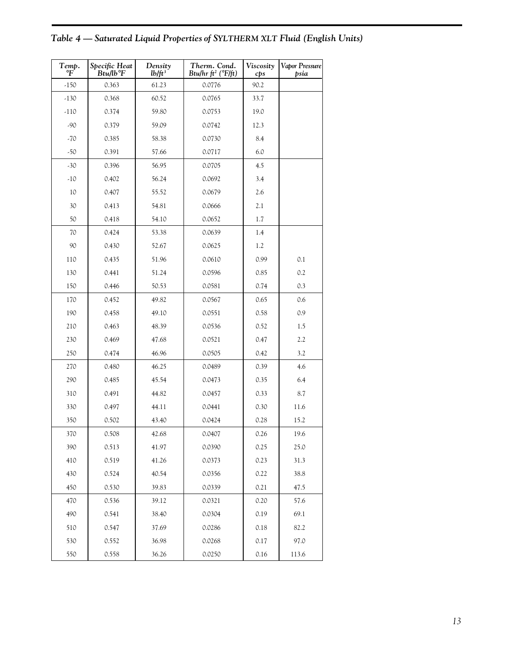| Temp.<br>$\mathsf{P}$ | Specific Heat<br>Btu/lb°F | Density<br>$lb$ ft <sup>3</sup> | Therm. Cond.<br>Btu/hr ft <sup>2</sup> (°F/ft) | Viscosity<br>cps | Vapor Pressure<br>psia |
|-----------------------|---------------------------|---------------------------------|------------------------------------------------|------------------|------------------------|
| $-150$                | 0.363                     | 61.23                           | 0.0776                                         | 90.2             |                        |
| $-130$                | 0.368                     | 60.52                           | 0.0765                                         | 33.7             |                        |
| $-110$                | 0.374                     | 59.80                           | 0.0753                                         | 19.0             |                        |
| $-90$                 | 0.379                     | 59.09                           | 0.0742                                         | 12.3             |                        |
| $-70$                 | 0.385                     | 58.38                           | 0.0730                                         | 8.4              |                        |
| $-50$                 | 0.391                     | 57.66                           | 0.0717                                         | 6.0              |                        |
| $-30$                 | 0.396                     | 56.95                           | 0.0705                                         | 4.5              |                        |
| $-10$                 | 0.402                     | 56.24                           | 0.0692                                         | 3.4              |                        |
| 10                    | 0.407                     | 55.52                           | 0.0679                                         | 2.6              |                        |
| 30                    | 0.413                     | 54.81                           | 0.0666                                         | 2.1              |                        |
| 50                    | 0.418                     | 54.10                           | 0.0652                                         | 1.7              |                        |
| 70                    | 0.424                     | 53.38                           | 0.0639                                         | 1.4              |                        |
| 90                    | 0.430                     | 52.67                           | 0.0625                                         | 1.2              |                        |
| 110                   | 0.435                     | 51.96                           | 0.0610                                         | 0.99             | 0.1                    |
| 130                   | 0.441                     | 51.24                           | 0.0596                                         | 0.85             | 0.2                    |
| 150                   | 0.446                     | 50.53                           | 0.0581                                         | 0.74             | 0.3                    |
| 170                   | 0.452                     | 49.82                           | 0.0567                                         | 0.65             | 0.6                    |
| 190                   | 0.458                     | 49.10                           | 0.0551                                         | 0.58             | 0.9                    |
| 210                   | 0.463                     | 48.39                           | 0.0536                                         | 0.52             | 1.5                    |
| 230                   | 0.469                     | 47.68                           | 0.0521                                         | 0.47             | 2.2                    |
| 250                   | 0.474                     | 46.96                           | 0.0505                                         | 0.42             | 3.2                    |
| 270                   | 0.480                     | 46.25                           | 0.0489                                         | 0.39             | 4.6                    |
| 290                   | 0.485                     | 45.54                           | 0.0473                                         | 0.35             | 6.4                    |
| 310                   | 0.491                     | 44.82                           | 0.0457                                         | 0.33             | 8.7                    |
| 330                   | 0.497                     | 44.11                           | 0.0441                                         | 0.30             | 11.6                   |
| 350                   | 0.502                     | 43.40                           | 0.0424                                         | 0.28             | 15.2                   |
| 370                   | 0.508                     | 42.68                           | 0.0407                                         | 0.26             | 19.6                   |
| 390                   | 0.513                     | 41.97                           | 0.0390                                         | 0.25             | 25.0                   |
| 410                   | 0.519                     | 41.26                           | 0.0373                                         | 0.23             | 31.3                   |
| 430                   | 0.524                     | 40.54                           | 0.0356                                         | 0.22             | 38.8                   |
| 450                   | 0.530                     | 39.83                           | 0.0339                                         | 0.21             | 47.5                   |
| 470                   | 0.536                     | 39.12                           | 0.0321                                         | 0.20             | 57.6                   |
| 490                   | 0.541                     | 38.40                           | 0.0304                                         | 0.19             | 69.1                   |
| 510                   | 0.547                     | 37.69                           | 0.0286                                         | 0.18             | 82.2                   |
| 530                   | 0.552                     | 36.98                           | 0.0268                                         | 0.17             | 97.0                   |
| 550                   | 0.558                     | 36.26                           | 0.0250                                         | 0.16             | 113.6                  |

# *Table 4 — Saturated Liquid Properties of SYLTHERM XLT Fluid (English Units)*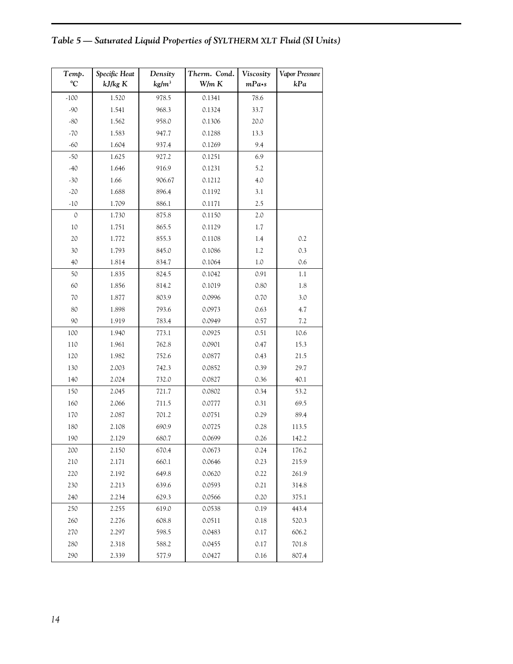## *Table 5 — Saturated Liquid Properties of SYLTHERM XLT Fluid (SI Units)*

| Temp.<br>$\rm ^{\circ}C$ | Specific Heat<br>kJ/kg K | Density<br>kg/m <sup>3</sup> | Therm. Cond.<br>W/m K | Viscosity<br>$mPa \cdot s$ | Vapor Pressure<br>kPa |
|--------------------------|--------------------------|------------------------------|-----------------------|----------------------------|-----------------------|
| $-100$                   | 1.520                    | 978.5                        | 0.1341                | 78.6                       |                       |
| $-90$                    | 1.541                    | 968.3                        | 0.1324                | 33.7                       |                       |
| $-80$                    | 1.562                    | 958.0                        | 0.1306                | 20.0                       |                       |
| $-70$                    | 1.583                    | 947.7                        | 0.1288                | 13.3                       |                       |
| $-60$                    | 1.604                    | 937.4                        | 0.1269                | 9.4                        |                       |
| $-50$                    | 1.625                    | 927.2                        | 0.1251                | 6.9                        |                       |
| $-40$                    | 1.646                    | 916.9                        | 0.1231                | 5.2                        |                       |
| $-30$                    | 1.66                     | 906.67                       | 0.1212                | 4.0                        |                       |
| $-20$                    | 1.688                    | 896.4                        | 0.1192                | 3.1                        |                       |
| $-10$                    | 1.709                    | 886.1                        | 0.1171                | 2.5                        |                       |
| $\mathbb O$              | 1.730                    | 875.8                        | 0.1150                | 2.0                        |                       |
| 10                       | 1.751                    | 865.5                        | 0.1129                | 1.7                        |                       |
| 20                       | 1.772                    | 855.3                        | 0.1108                | 1.4                        | 0.2                   |
| 30                       | 1.793                    | 845.0                        | 0.1086                | 1.2                        | 0.3                   |
| 40                       | 1.814                    | 834.7                        | 0.1064                | $1.0\,$                    | 0.6                   |
| 50                       | 1.835                    | 824.5                        | 0.1042                | 0.91                       | $1.1\,$               |
| 60                       | 1.856                    | 814.2                        | 0.1019                | 0.80                       | 1.8                   |
| 70                       | 1.877                    | 803.9                        | 0.0996                | 0.70                       | 3.0                   |
| 80                       | 1.898                    | 793.6                        | 0.0973                | 0.63                       | 4.7                   |
| 90                       | 1.919                    | 783.4                        | 0.0949                | 0.57                       | 7.2                   |
| 100                      | 1.940                    | 773.1                        | 0.0925                | 0.51                       | 10.6                  |
| 110                      | 1.961                    | 762.8                        | 0.0901                | 0.47                       | 15.3                  |
| 120                      | 1.982                    | 752.6                        | 0.0877                | 0.43                       | 21.5                  |
| 130                      | 2.003                    | 742.3                        | 0.0852                | 0.39                       | 29.7                  |
| 140                      | 2.024                    | 732.0                        | 0.0827                | 0.36                       | 40.1                  |
| 150                      | 2.045                    | 721.7                        | 0.0802                | 0.34                       | 53.2                  |
| 160                      | 2.066                    | 711.5                        | 0.0777                | 0.31                       | 69.5                  |
| 170                      | 2.087                    | 701.2                        | 0.0751                | 0.29                       | 89.4                  |
| 180                      | 2.108                    | 690.9                        | 0.0725                | 0.28                       | 113.5                 |
| 190                      | 2.129                    | 680.7                        | 0.0699                | 0.26                       | 142.2                 |
| 200                      | 2.150                    | 670.4                        | 0.0673                | 0.24                       | 176.2                 |
| 210                      | 2.171                    | 660.1                        | 0.0646                | 0.23                       | 215.9                 |
| 220                      | 2.192                    | 649.8                        | 0.0620                | 0.22                       | 261.9                 |
| 230                      | 2.213                    | 639.6                        | 0.0593                | 0.21                       | 314.8                 |
| 240                      | 2.234                    | 629.3                        | 0.0566                | 0.20                       | 375.1                 |
| 250                      | 2.255                    | 619.0                        | 0.0538                | 0.19                       | 443.4                 |
| 260                      | 2.276                    | 608.8                        | 0.0511                | 0.18                       | 520.3                 |
| 270                      | 2.297                    | 598.5                        | 0.0483                | 0.17                       | 606.2                 |
| 280                      | 2.318                    | 588.2                        | 0.0455                | 0.17                       | 701.8                 |
| 290                      | 2.339                    | 577.9                        | 0.0427                | 0.16                       | 807.4                 |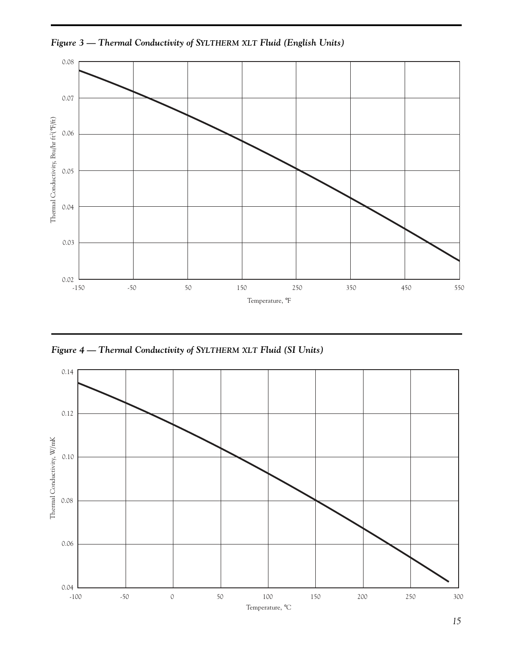*Figure 3 — Thermal Conductivity of SYLTHERM XLT Fluid (English Units)*





*15*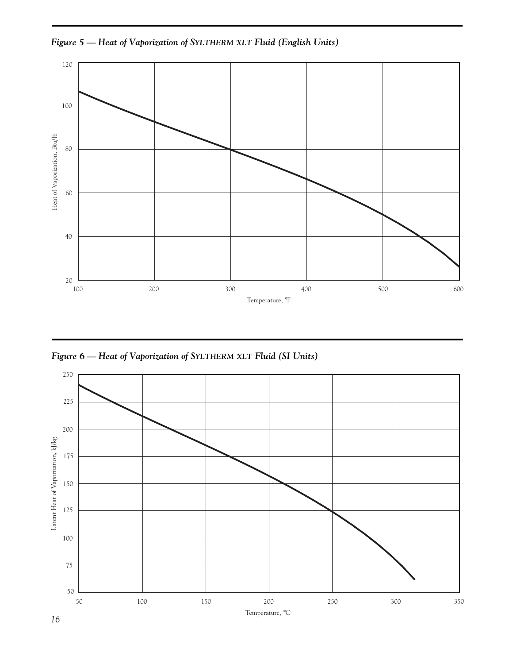*Figure 5 — Heat of Vaporization of SYLTHERM XLT Fluid (English Units)*



*Figure 6 — Heat of Vaporization of SYLTHERM XLT Fluid (SI Units)*

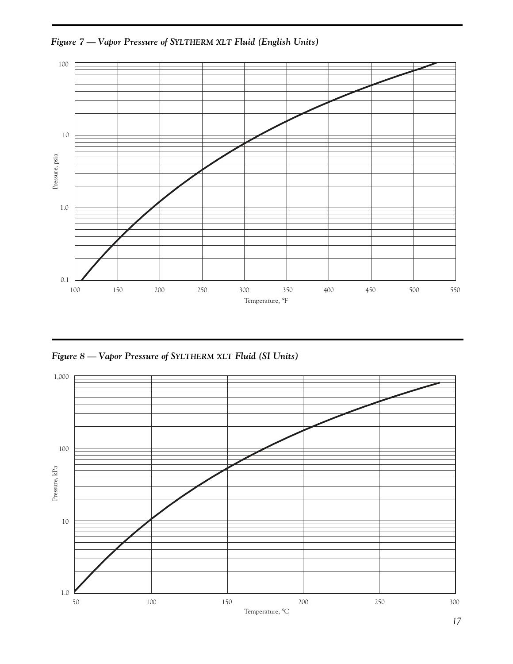*Figure 7 — Vapor Pressure of SYLTHERM XLT Fluid (English Units)*



*Figure 8 — Vapor Pressure of SYLTHERM XLT Fluid (SI Units)*

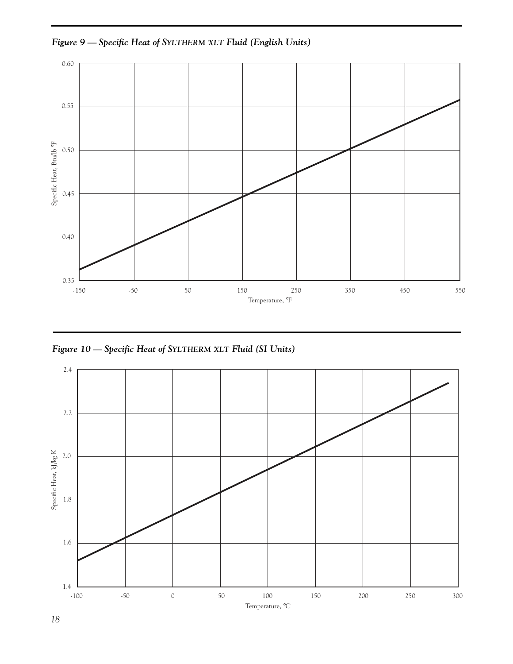*Figure 9 — Specific Heat of SYLTHERM XLT Fluid (English Units)*





*18*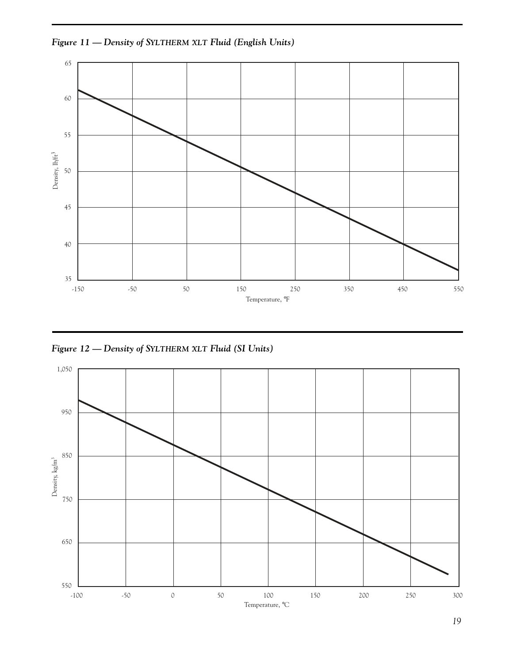



*Figure 12 — Density of SYLTHERM XLT Fluid (SI Units)*

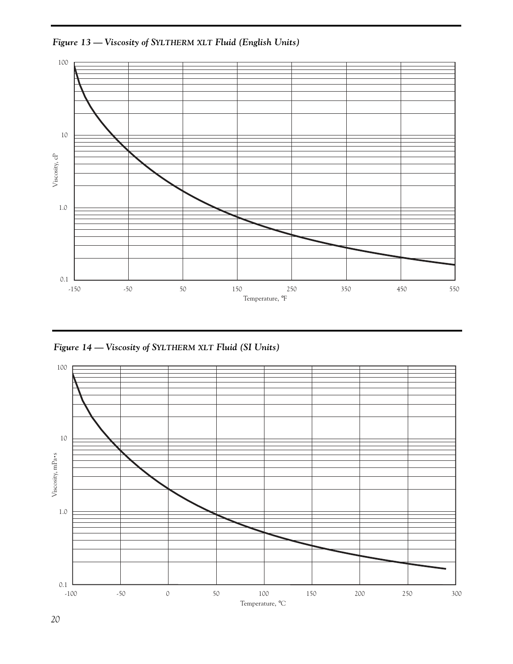*Figure 13 — Viscosity of SYLTHERM XLT Fluid (English Units)*



*Figure 14 — Viscosity of SYLTHERM XLT Fluid (SI Units)*

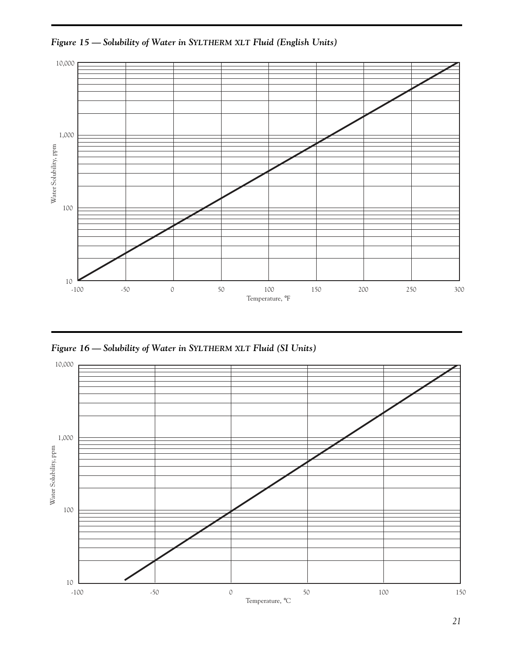*Figure 15 — Solubility of Water in SYLTHERM XLT Fluid (English Units)*



*Figure 16 — Solubility of Water in SYLTHERM XLT Fluid (SI Units)*

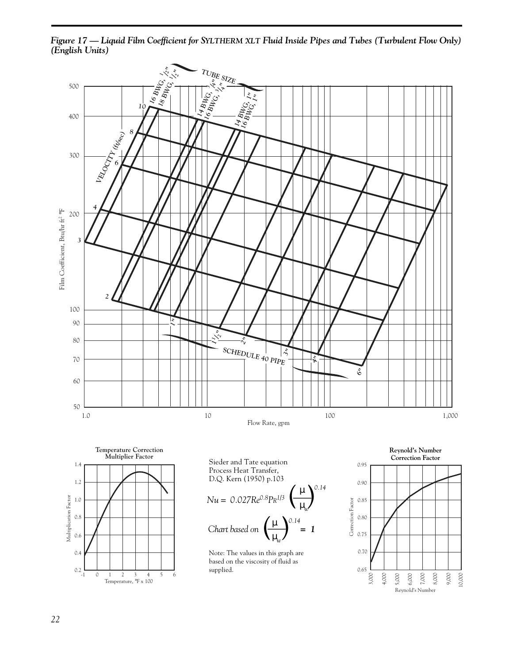*Figure 17 — Liquid Film Coefficient for SYLTHERM XLT Fluid Inside Pipes and Tubes (Turbulent Flow Only) (English Units)*



$$
Nu = 0.027 \text{Re}^{0.8} \text{Pr}^{1/3} \left(\frac{\mu}{\mu_w}\right)^{0.14}
$$
  
Chart based on 
$$
\left(\frac{\mu}{\mu_w}\right)^{0.14} = 1
$$

Note: The values in this graph are based on the viscosity of fluid as supplied.



 $0.2$  L<br>-1

0.4

0.6

0.8

Multiplication Factor

Multiplication Factor

1.0

Temperature, °F x 100

-1 0 1 2 3 4 5 6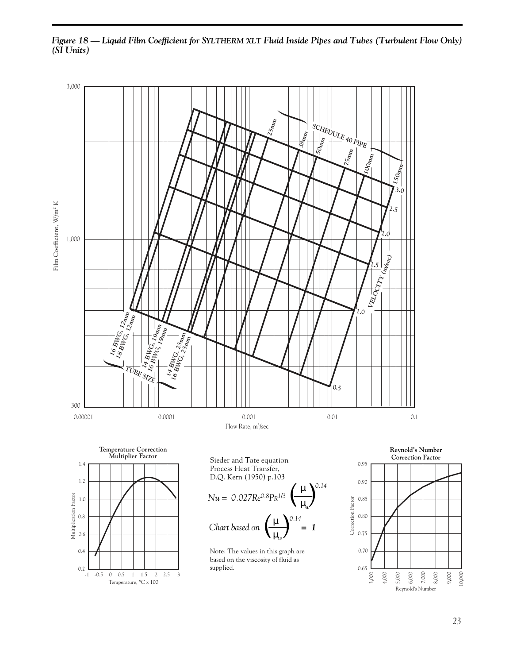

*Figure 18 — Liquid Film Coefficient for SYLTHERM XLT Fluid Inside Pipes and Tubes (Turbulent Flow Only) (SI Units)*

10,000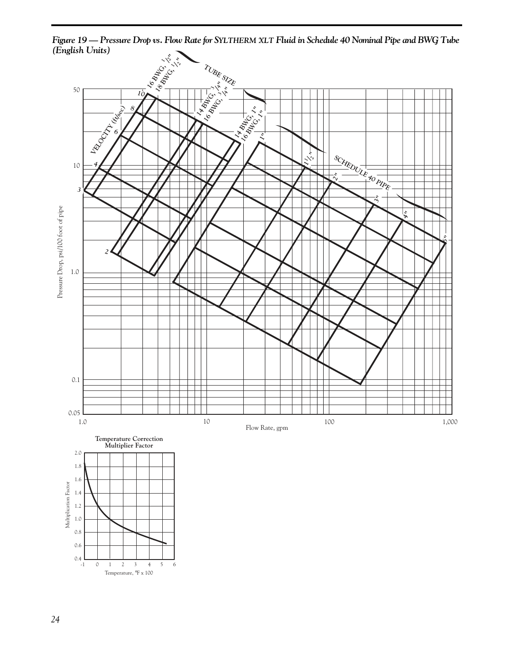



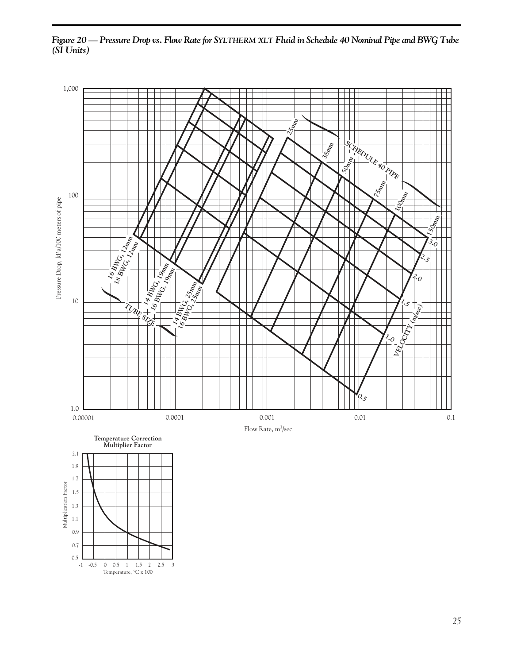

*Figure 20 — Pressure Drop vs. Flow Rate for SYLTHERM XLT Fluid in Schedule 40 Nominal Pipe and BWG Tube (SI Units)*

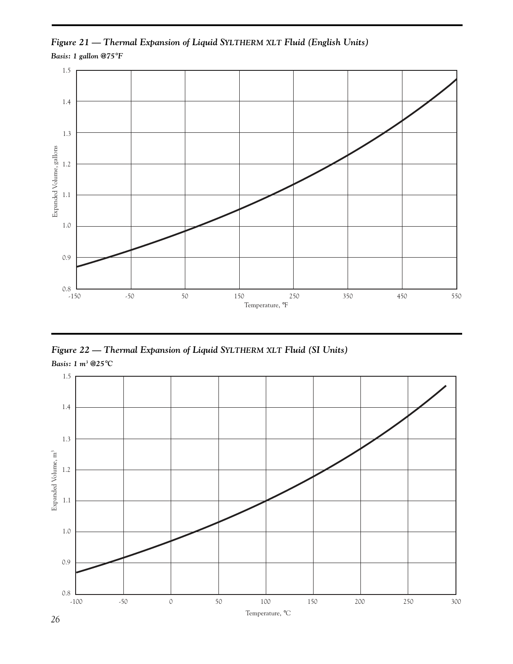*Figure 21 — Thermal Expansion of Liquid SYLTHERM XLT Fluid (English Units) Basis: 1 gallon @75*°*F*



*Figure 22 — Thermal Expansion of Liquid SYLTHERM XLT Fluid (SI Units) Basis: 1 m<sup>3</sup> @25*°*C*

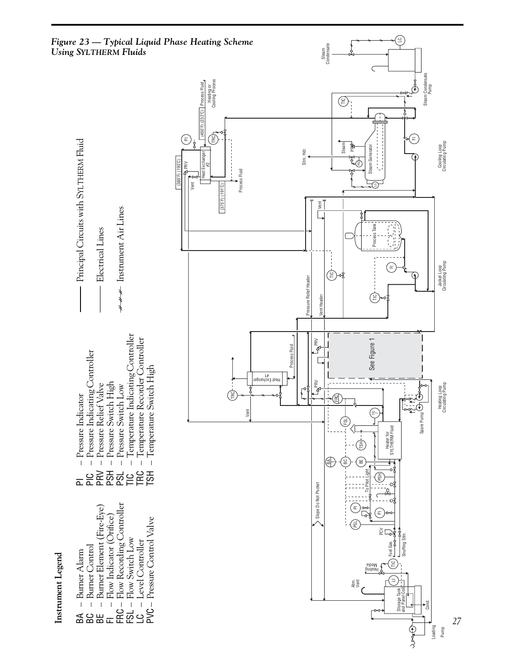